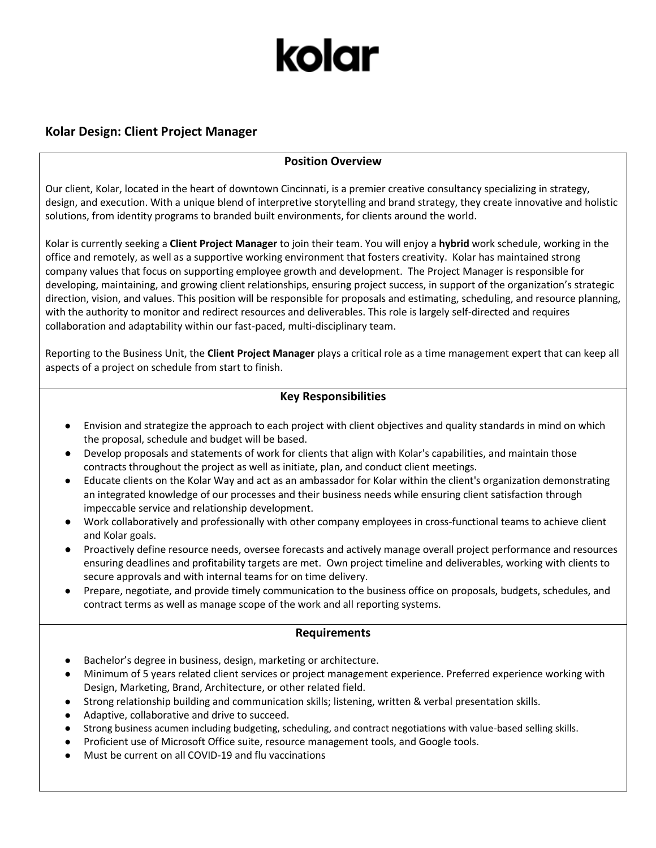# kolar

## **Kolar Design: Client Project Manager**

## **Position Overview**

Our client, Kolar, located in the heart of downtown Cincinnati, is a premier creative consultancy specializing in strategy, design, and execution. With a unique blend of interpretive storytelling and brand strategy, they create innovative and holistic solutions, from identity programs to branded built environments, for clients around the world.

Kolar is currently seeking a **Client Project Manager** to join their team. You will enjoy a **hybrid** work schedule, working in the office and remotely, as well as a supportive working environment that fosters creativity. Kolar has maintained strong company values that focus on supporting employee growth and development. The Project Manager is responsible for developing, maintaining, and growing client relationships, ensuring project success, in support of the organization's strategic direction, vision, and values. This position will be responsible for proposals and estimating, scheduling, and resource planning, with the authority to monitor and redirect resources and deliverables. This role is largely self-directed and requires collaboration and adaptability within our fast-paced, multi-disciplinary team.

Reporting to the Business Unit, the **Client Project Manager** plays a critical role as a time management expert that can keep all aspects of a project on schedule from start to finish.

### **Key Responsibilities**

- Envision and strategize the approach to each project with client objectives and quality standards in mind on which the proposal, schedule and budget will be based.
- Develop proposals and statements of work for clients that align with Kolar's capabilities, and maintain those contracts throughout the project as well as initiate, plan, and conduct client meetings.
- Educate clients on the Kolar Way and act as an ambassador for Kolar within the client's organization demonstrating an integrated knowledge of our processes and their business needs while ensuring client satisfaction through impeccable service and relationship development.
- Work collaboratively and professionally with other company employees in cross-functional teams to achieve client and Kolar goals.
- Proactively define resource needs, oversee forecasts and actively manage overall project performance and resources ensuring deadlines and profitability targets are met. Own project timeline and deliverables, working with clients to secure approvals and with internal teams for on time delivery.
- Prepare, negotiate, and provide timely communication to the business office on proposals, budgets, schedules, and contract terms as well as manage scope of the work and all reporting systems.

#### **Requirements**

- Bachelor's degree in business, design, marketing or architecture.
- Minimum of 5 years related client services or project management experience. Preferred experience working with Design, Marketing, Brand, Architecture, or other related field.
- Strong relationship building and communication skills; listening, written & verbal presentation skills.
- Adaptive, collaborative and drive to succeed.
- Strong business acumen including budgeting, scheduling, and contract negotiations with value-based selling skills.
- Proficient use of Microsoft Office suite, resource management tools, and Google tools.
- Must be current on all COVID-19 and flu vaccinations